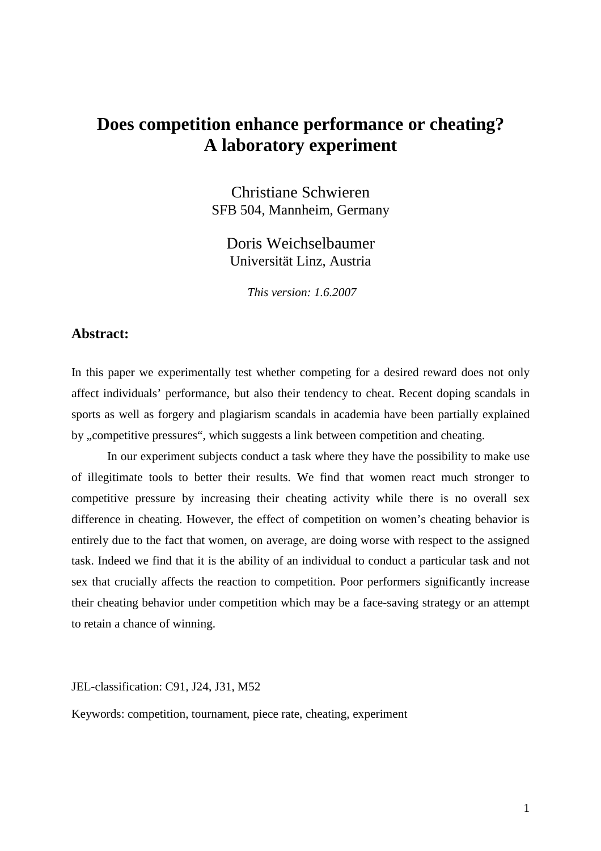# **Does competition enhance performance or cheating? A laboratory experiment**

Christiane Schwieren SFB 504, Mannheim, Germany

Doris Weichselbaumer Universität Linz, Austria

 *This version: 1.6.2007* 

### **Abstract:**

In this paper we experimentally test whether competing for a desired reward does not only affect individuals' performance, but also their tendency to cheat. Recent doping scandals in sports as well as forgery and plagiarism scandals in academia have been partially explained by , competitive pressures", which suggests a link between competition and cheating.

 In our experiment subjects conduct a task where they have the possibility to make use of illegitimate tools to better their results. We find that women react much stronger to competitive pressure by increasing their cheating activity while there is no overall sex difference in cheating. However, the effect of competition on women's cheating behavior is entirely due to the fact that women, on average, are doing worse with respect to the assigned task. Indeed we find that it is the ability of an individual to conduct a particular task and not sex that crucially affects the reaction to competition. Poor performers significantly increase their cheating behavior under competition which may be a face-saving strategy or an attempt to retain a chance of winning.

JEL-classification: C91, J24, J31, M52

Keywords: competition, tournament, piece rate, cheating, experiment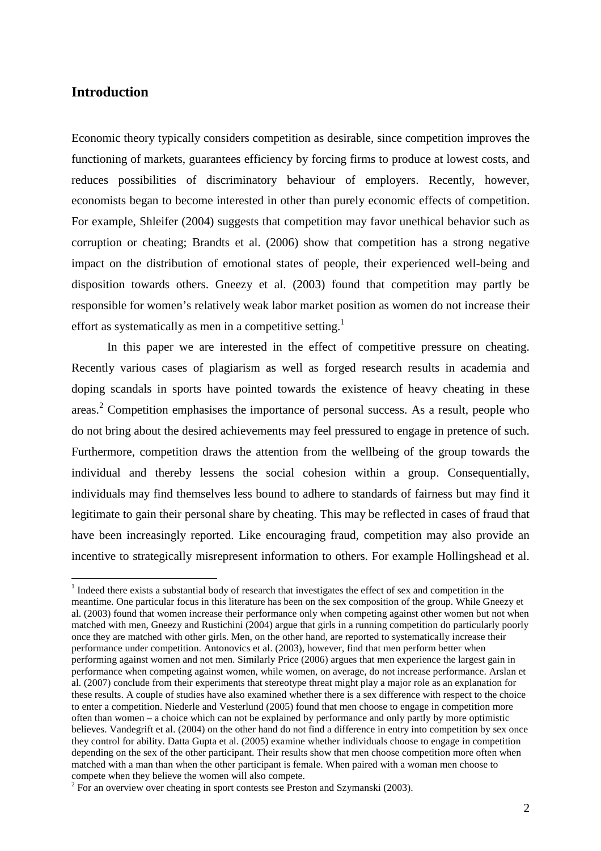### **Introduction**

 $\overline{a}$ 

Economic theory typically considers competition as desirable, since competition improves the functioning of markets, guarantees efficiency by forcing firms to produce at lowest costs, and reduces possibilities of discriminatory behaviour of employers. Recently, however, economists began to become interested in other than purely economic effects of competition. For example, Shleifer (2004) suggests that competition may favor unethical behavior such as corruption or cheating; Brandts et al. (2006) show that competition has a strong negative impact on the distribution of emotional states of people, their experienced well-being and disposition towards others. Gneezy et al. (2003) found that competition may partly be responsible for women's relatively weak labor market position as women do not increase their effort as systematically as men in a competitive setting.<sup>1</sup>

In this paper we are interested in the effect of competitive pressure on cheating. Recently various cases of plagiarism as well as forged research results in academia and doping scandals in sports have pointed towards the existence of heavy cheating in these areas.<sup>2</sup> Competition emphasises the importance of personal success. As a result, people who do not bring about the desired achievements may feel pressured to engage in pretence of such. Furthermore, competition draws the attention from the wellbeing of the group towards the individual and thereby lessens the social cohesion within a group. Consequentially, individuals may find themselves less bound to adhere to standards of fairness but may find it legitimate to gain their personal share by cheating. This may be reflected in cases of fraud that have been increasingly reported. Like encouraging fraud, competition may also provide an incentive to strategically misrepresent information to others. For example Hollingshead et al.

<sup>&</sup>lt;sup>1</sup> Indeed there exists a substantial body of research that investigates the effect of sex and competition in the meantime. One particular focus in this literature has been on the sex composition of the group. While Gneezy et al. (2003) found that women increase their performance only when competing against other women but not when matched with men, Gneezy and Rustichini (2004) argue that girls in a running competition do particularly poorly once they are matched with other girls. Men, on the other hand, are reported to systematically increase their performance under competition. Antonovics et al. (2003), however, find that men perform better when performing against women and not men. Similarly Price (2006) argues that men experience the largest gain in performance when competing against women, while women, on average, do not increase performance. Arslan et al. (2007) conclude from their experiments that stereotype threat might play a major role as an explanation for these results. A couple of studies have also examined whether there is a sex difference with respect to the choice to enter a competition. Niederle and Vesterlund (2005) found that men choose to engage in competition more often than women – a choice which can not be explained by performance and only partly by more optimistic believes. Vandegrift et al. (2004) on the other hand do not find a difference in entry into competition by sex once they control for ability. Datta Gupta et al. (2005) examine whether individuals choose to engage in competition depending on the sex of the other participant. Their results show that men choose competition more often when matched with a man than when the other participant is female. When paired with a woman men choose to compete when they believe the women will also compete.

 $2^2$  For an overview over cheating in sport contests see Preston and Szymanski (2003).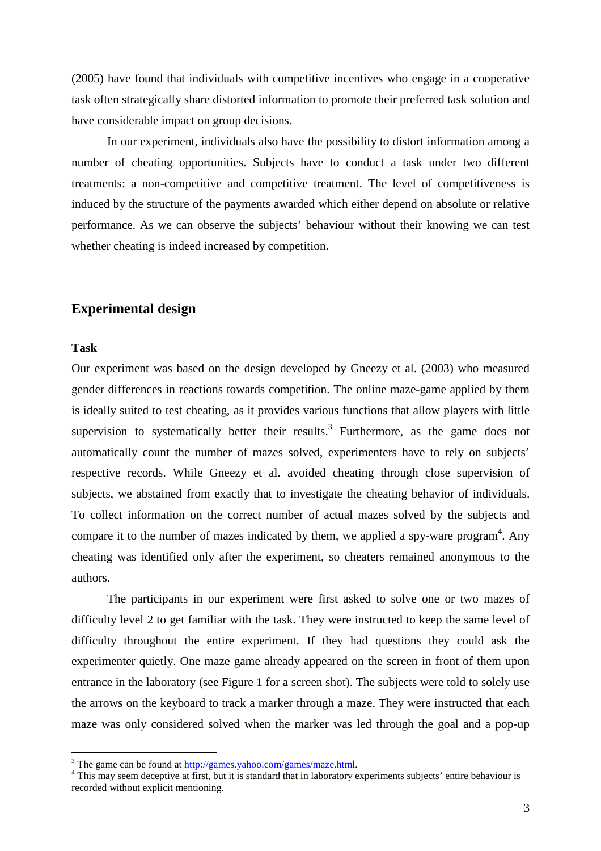(2005) have found that individuals with competitive incentives who engage in a cooperative task often strategically share distorted information to promote their preferred task solution and have considerable impact on group decisions.

In our experiment, individuals also have the possibility to distort information among a number of cheating opportunities. Subjects have to conduct a task under two different treatments: a non-competitive and competitive treatment. The level of competitiveness is induced by the structure of the payments awarded which either depend on absolute or relative performance. As we can observe the subjects' behaviour without their knowing we can test whether cheating is indeed increased by competition.

### **Experimental design**

#### **Task**

 $\overline{a}$ 

Our experiment was based on the design developed by Gneezy et al. (2003) who measured gender differences in reactions towards competition. The online maze-game applied by them is ideally suited to test cheating, as it provides various functions that allow players with little supervision to systematically better their results.<sup>3</sup> Furthermore, as the game does not automatically count the number of mazes solved, experimenters have to rely on subjects' respective records. While Gneezy et al. avoided cheating through close supervision of subjects, we abstained from exactly that to investigate the cheating behavior of individuals. To collect information on the correct number of actual mazes solved by the subjects and compare it to the number of mazes indicated by them, we applied a spy-ware program<sup>4</sup>. Any cheating was identified only after the experiment, so cheaters remained anonymous to the authors.

The participants in our experiment were first asked to solve one or two mazes of difficulty level 2 to get familiar with the task. They were instructed to keep the same level of difficulty throughout the entire experiment. If they had questions they could ask the experimenter quietly. One maze game already appeared on the screen in front of them upon entrance in the laboratory (see Figure 1 for a screen shot). The subjects were told to solely use the arrows on the keyboard to track a marker through a maze. They were instructed that each maze was only considered solved when the marker was led through the goal and a pop-up

<sup>&</sup>lt;sup>3</sup> The game can be found at  $\frac{http://games.yahoo.com/games/maze.html}{http://games.yahoo.com/games/maze.html}.$ 

<sup>&</sup>lt;sup>4</sup> This may seem deceptive at first, but it is standard that in laboratory experiments subjects' entire behaviour is recorded without explicit mentioning.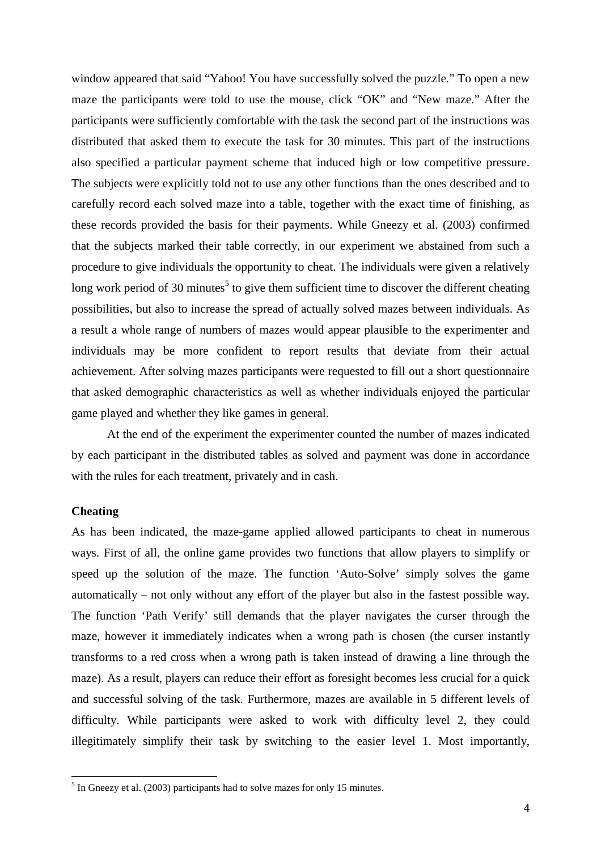window appeared that said "Yahoo! You have successfully solved the puzzle." To open a new maze the participants were told to use the mouse, click "OK" and "New maze." After the participants were sufficiently comfortable with the task the second part of the instructions was distributed that asked them to execute the task for 30 minutes. This part of the instructions also specified a particular payment scheme that induced high or low competitive pressure. The subjects were explicitly told not to use any other functions than the ones described and to carefully record each solved maze into a table, together with the exact time of finishing, as these records provided the basis for their payments. While Gneezy et al. (2003) confirmed that the subjects marked their table correctly, in our experiment we abstained from such a procedure to give individuals the opportunity to cheat. The individuals were given a relatively long work period of 30 minutes<sup>5</sup> to give them sufficient time to discover the different cheating possibilities, but also to increase the spread of actually solved mazes between individuals. As a result a whole range of numbers of mazes would appear plausible to the experimenter and individuals may be more confident to report results that deviate from their actual achievement. After solving mazes participants were requested to fill out a short questionnaire that asked demographic characteristics as well as whether individuals enjoyed the particular game played and whether they like games in general.

At the end of the experiment the experimenter counted the number of mazes indicated by each participant in the distributed tables as solved and payment was done in accordance with the rules for each treatment, privately and in cash.

#### **Cheating**

 $\overline{a}$ 

As has been indicated, the maze-game applied allowed participants to cheat in numerous ways. First of all, the online game provides two functions that allow players to simplify or speed up the solution of the maze. The function 'Auto-Solve' simply solves the game automatically – not only without any effort of the player but also in the fastest possible way. The function 'Path Verify' still demands that the player navigates the curser through the maze, however it immediately indicates when a wrong path is chosen (the curser instantly transforms to a red cross when a wrong path is taken instead of drawing a line through the maze). As a result, players can reduce their effort as foresight becomes less crucial for a quick and successful solving of the task. Furthermore, mazes are available in 5 different levels of difficulty. While participants were asked to work with difficulty level 2, they could illegitimately simplify their task by switching to the easier level 1. Most importantly,

 $<sup>5</sup>$  In Gneezy et al. (2003) participants had to solve mazes for only 15 minutes.</sup>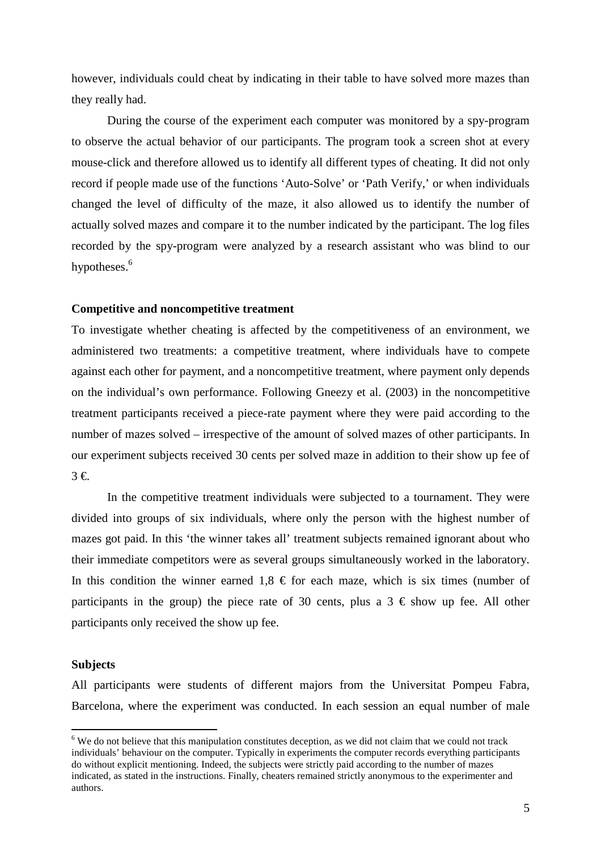however, individuals could cheat by indicating in their table to have solved more mazes than they really had.

 During the course of the experiment each computer was monitored by a spy-program to observe the actual behavior of our participants. The program took a screen shot at every mouse-click and therefore allowed us to identify all different types of cheating. It did not only record if people made use of the functions 'Auto-Solve' or 'Path Verify,' or when individuals changed the level of difficulty of the maze, it also allowed us to identify the number of actually solved mazes and compare it to the number indicated by the participant. The log files recorded by the spy-program were analyzed by a research assistant who was blind to our hypotheses.<sup>6</sup>

#### **Competitive and noncompetitive treatment**

To investigate whether cheating is affected by the competitiveness of an environment, we administered two treatments: a competitive treatment, where individuals have to compete against each other for payment, and a noncompetitive treatment, where payment only depends on the individual's own performance. Following Gneezy et al. (2003) in the noncompetitive treatment participants received a piece-rate payment where they were paid according to the number of mazes solved – irrespective of the amount of solved mazes of other participants. In our experiment subjects received 30 cents per solved maze in addition to their show up fee of 3 €.

In the competitive treatment individuals were subjected to a tournament. They were divided into groups of six individuals, where only the person with the highest number of mazes got paid. In this 'the winner takes all' treatment subjects remained ignorant about who their immediate competitors were as several groups simultaneously worked in the laboratory. In this condition the winner earned  $1,8 \in \mathbb{C}$  for each maze, which is six times (number of participants in the group) the piece rate of 30 cents, plus a  $3 \notin$  show up fee. All other participants only received the show up fee.

#### **Subjects**

 $\overline{a}$ 

All participants were students of different majors from the Universitat Pompeu Fabra, Barcelona, where the experiment was conducted. In each session an equal number of male

 $6$  We do not believe that this manipulation constitutes deception, as we did not claim that we could not track individuals' behaviour on the computer. Typically in experiments the computer records everything participants do without explicit mentioning. Indeed, the subjects were strictly paid according to the number of mazes indicated, as stated in the instructions. Finally, cheaters remained strictly anonymous to the experimenter and authors.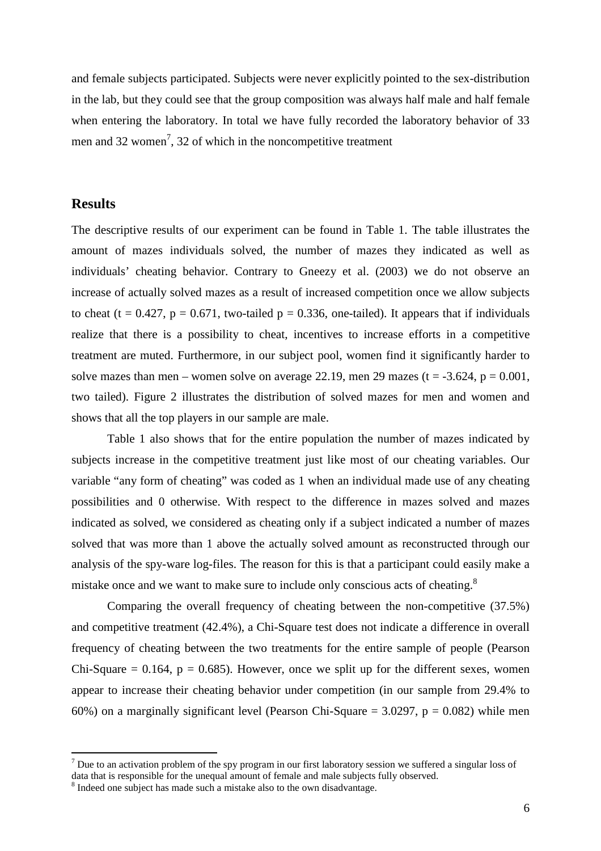and female subjects participated. Subjects were never explicitly pointed to the sex-distribution in the lab, but they could see that the group composition was always half male and half female when entering the laboratory. In total we have fully recorded the laboratory behavior of 33 men and 32 women<sup>7</sup>, 32 of which in the noncompetitive treatment

#### **Results**

 $\overline{a}$ 

The descriptive results of our experiment can be found in Table 1. The table illustrates the amount of mazes individuals solved, the number of mazes they indicated as well as individuals' cheating behavior. Contrary to Gneezy et al. (2003) we do not observe an increase of actually solved mazes as a result of increased competition once we allow subjects to cheat (t = 0.427, p = 0.671, two-tailed p = 0.336, one-tailed). It appears that if individuals realize that there is a possibility to cheat, incentives to increase efforts in a competitive treatment are muted. Furthermore, in our subject pool, women find it significantly harder to solve mazes than men – women solve on average 22.19, men 29 mazes ( $t = -3.624$ ,  $p = 0.001$ , two tailed). Figure 2 illustrates the distribution of solved mazes for men and women and shows that all the top players in our sample are male.

 Table 1 also shows that for the entire population the number of mazes indicated by subjects increase in the competitive treatment just like most of our cheating variables. Our variable "any form of cheating" was coded as 1 when an individual made use of any cheating possibilities and 0 otherwise. With respect to the difference in mazes solved and mazes indicated as solved, we considered as cheating only if a subject indicated a number of mazes solved that was more than 1 above the actually solved amount as reconstructed through our analysis of the spy-ware log-files. The reason for this is that a participant could easily make a mistake once and we want to make sure to include only conscious acts of cheating. $8$ 

 Comparing the overall frequency of cheating between the non-competitive (37.5%) and competitive treatment (42.4%), a Chi-Square test does not indicate a difference in overall frequency of cheating between the two treatments for the entire sample of people (Pearson Chi-Square  $= 0.164$ ,  $p = 0.685$ ). However, once we split up for the different sexes, women appear to increase their cheating behavior under competition (in our sample from 29.4% to 60%) on a marginally significant level (Pearson Chi-Square =  $3.0297$ , p = 0.082) while men

 $<sup>7</sup>$  Due to an activation problem of the spy program in our first laboratory session we suffered a singular loss of</sup>

data that is responsible for the unequal amount of female and male subjects fully observed.

<sup>&</sup>lt;sup>8</sup> Indeed one subject has made such a mistake also to the own disadvantage.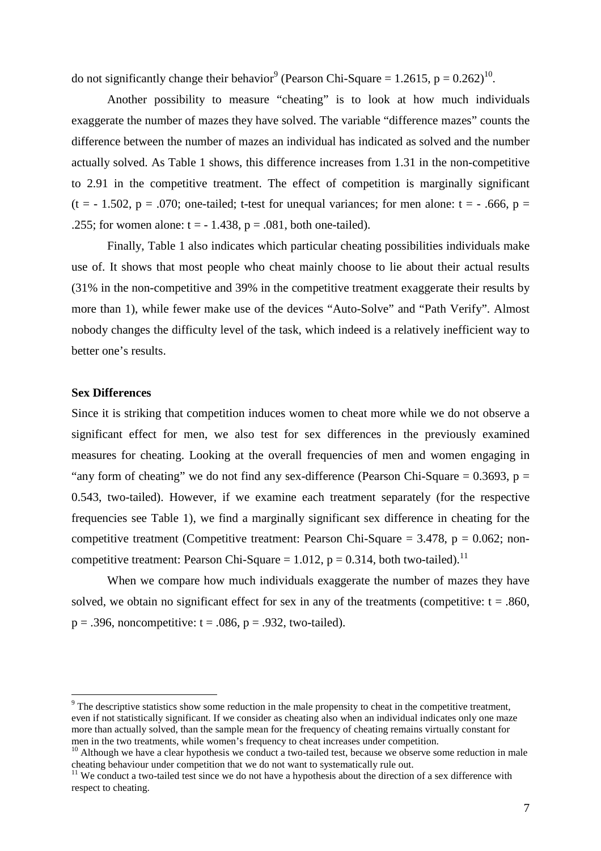do not significantly change their behavior<sup>9</sup> (Pearson Chi-Square = 1.2615,  $p = 0.262$ )<sup>10</sup>.

Another possibility to measure "cheating" is to look at how much individuals exaggerate the number of mazes they have solved. The variable "difference mazes" counts the difference between the number of mazes an individual has indicated as solved and the number actually solved. As Table 1 shows, this difference increases from 1.31 in the non-competitive to 2.91 in the competitive treatment. The effect of competition is marginally significant (t = - 1.502, p = .070; one-tailed; t-test for unequal variances; for men alone: t = -.666, p = .255; for women alone:  $t = -1.438$ ,  $p = .081$ , both one-tailed).

Finally, Table 1 also indicates which particular cheating possibilities individuals make use of. It shows that most people who cheat mainly choose to lie about their actual results (31% in the non-competitive and 39% in the competitive treatment exaggerate their results by more than 1), while fewer make use of the devices "Auto-Solve" and "Path Verify". Almost nobody changes the difficulty level of the task, which indeed is a relatively inefficient way to better one's results.

#### **Sex Differences**

 $\overline{a}$ 

Since it is striking that competition induces women to cheat more while we do not observe a significant effect for men, we also test for sex differences in the previously examined measures for cheating. Looking at the overall frequencies of men and women engaging in "any form of cheating" we do not find any sex-difference (Pearson Chi-Square  $= 0.3693$ , p  $=$ 0.543, two-tailed). However, if we examine each treatment separately (for the respective frequencies see Table 1), we find a marginally significant sex difference in cheating for the competitive treatment (Competitive treatment: Pearson Chi-Square  $= 3.478$ ,  $p = 0.062$ ; noncompetitive treatment: Pearson Chi-Square = 1.012,  $p = 0.314$ , both two-tailed).<sup>11</sup>

When we compare how much individuals exaggerate the number of mazes they have solved, we obtain no significant effect for sex in any of the treatments (competitive:  $t = .860$ ,  $p = .396$ , noncompetitive:  $t = .086$ ,  $p = .932$ , two-tailed).

 $9$  The descriptive statistics show some reduction in the male propensity to cheat in the competitive treatment, even if not statistically significant. If we consider as cheating also when an individual indicates only one maze more than actually solved, than the sample mean for the frequency of cheating remains virtually constant for men in the two treatments, while women's frequency to cheat increases under competition.

 $10$  Although we have a clear hypothesis we conduct a two-tailed test, because we observe some reduction in male cheating behaviour under competition that we do not want to systematically rule out.

<sup>&</sup>lt;sup>11</sup> We conduct a two-tailed test since we do not have a hypothesis about the direction of a sex difference with respect to cheating.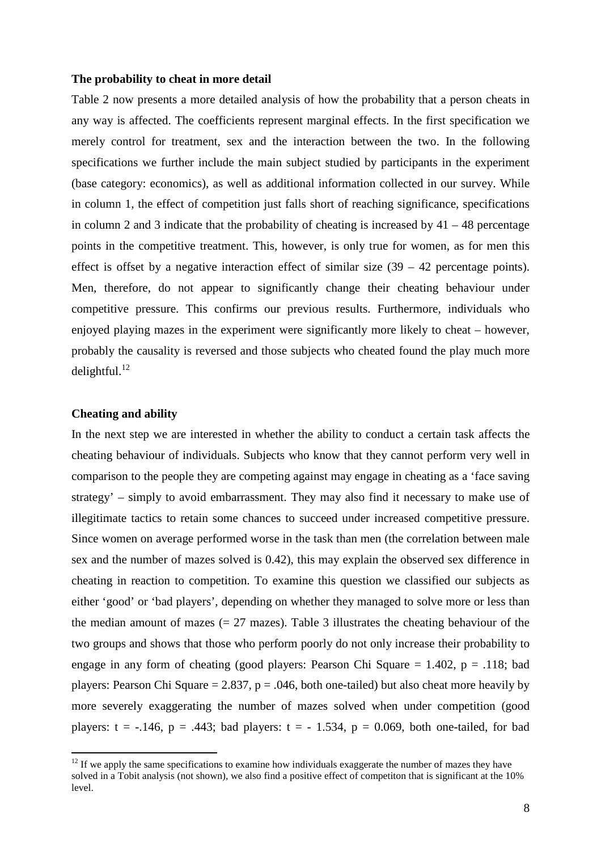#### **The probability to cheat in more detail**

Table 2 now presents a more detailed analysis of how the probability that a person cheats in any way is affected. The coefficients represent marginal effects. In the first specification we merely control for treatment, sex and the interaction between the two. In the following specifications we further include the main subject studied by participants in the experiment (base category: economics), as well as additional information collected in our survey. While in column 1, the effect of competition just falls short of reaching significance, specifications in column 2 and 3 indicate that the probability of cheating is increased by  $41 - 48$  percentage points in the competitive treatment. This, however, is only true for women, as for men this effect is offset by a negative interaction effect of similar size  $(39 - 42)$  percentage points). Men, therefore, do not appear to significantly change their cheating behaviour under competitive pressure. This confirms our previous results. Furthermore, individuals who enjoyed playing mazes in the experiment were significantly more likely to cheat – however, probably the causality is reversed and those subjects who cheated found the play much more delightful. $^{12}$ 

#### **Cheating and ability**

 $\overline{a}$ 

In the next step we are interested in whether the ability to conduct a certain task affects the cheating behaviour of individuals. Subjects who know that they cannot perform very well in comparison to the people they are competing against may engage in cheating as a 'face saving strategy' – simply to avoid embarrassment. They may also find it necessary to make use of illegitimate tactics to retain some chances to succeed under increased competitive pressure. Since women on average performed worse in the task than men (the correlation between male sex and the number of mazes solved is 0.42), this may explain the observed sex difference in cheating in reaction to competition. To examine this question we classified our subjects as either 'good' or 'bad players', depending on whether they managed to solve more or less than the median amount of mazes  $(= 27 \text{ mazes})$ . Table 3 illustrates the cheating behaviour of the two groups and shows that those who perform poorly do not only increase their probability to engage in any form of cheating (good players: Pearson Chi Square  $= 1.402$ ,  $p = .118$ ; bad players: Pearson Chi Square = 2.837,  $p = .046$ , both one-tailed) but also cheat more heavily by more severely exaggerating the number of mazes solved when under competition (good players:  $t = -.146$ ,  $p = .443$ ; bad players:  $t = -1.534$ ,  $p = 0.069$ , both one-tailed, for bad

 $12$  If we apply the same specifications to examine how individuals exaggerate the number of mazes they have solved in a Tobit analysis (not shown), we also find a positive effect of competiton that is significant at the 10% level.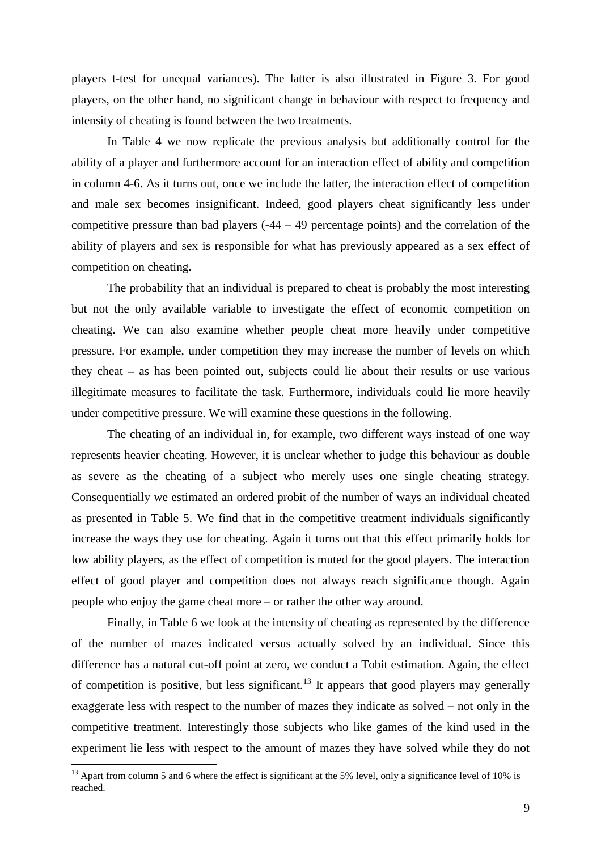players t-test for unequal variances). The latter is also illustrated in Figure 3. For good players, on the other hand, no significant change in behaviour with respect to frequency and intensity of cheating is found between the two treatments.

In Table 4 we now replicate the previous analysis but additionally control for the ability of a player and furthermore account for an interaction effect of ability and competition in column 4-6. As it turns out, once we include the latter, the interaction effect of competition and male sex becomes insignificant. Indeed, good players cheat significantly less under competitive pressure than bad players  $(-44 - 49)$  percentage points) and the correlation of the ability of players and sex is responsible for what has previously appeared as a sex effect of competition on cheating.

 The probability that an individual is prepared to cheat is probably the most interesting but not the only available variable to investigate the effect of economic competition on cheating. We can also examine whether people cheat more heavily under competitive pressure. For example, under competition they may increase the number of levels on which they cheat – as has been pointed out, subjects could lie about their results or use various illegitimate measures to facilitate the task. Furthermore, individuals could lie more heavily under competitive pressure. We will examine these questions in the following.

 The cheating of an individual in, for example, two different ways instead of one way represents heavier cheating. However, it is unclear whether to judge this behaviour as double as severe as the cheating of a subject who merely uses one single cheating strategy. Consequentially we estimated an ordered probit of the number of ways an individual cheated as presented in Table 5. We find that in the competitive treatment individuals significantly increase the ways they use for cheating. Again it turns out that this effect primarily holds for low ability players, as the effect of competition is muted for the good players. The interaction effect of good player and competition does not always reach significance though. Again people who enjoy the game cheat more – or rather the other way around.

 Finally, in Table 6 we look at the intensity of cheating as represented by the difference of the number of mazes indicated versus actually solved by an individual. Since this difference has a natural cut-off point at zero, we conduct a Tobit estimation. Again, the effect of competition is positive, but less significant.<sup>13</sup> It appears that good players may generally exaggerate less with respect to the number of mazes they indicate as solved – not only in the competitive treatment. Interestingly those subjects who like games of the kind used in the experiment lie less with respect to the amount of mazes they have solved while they do not

 $\overline{a}$ 

<sup>&</sup>lt;sup>13</sup> Apart from column 5 and 6 where the effect is significant at the 5% level, only a significance level of 10% is reached.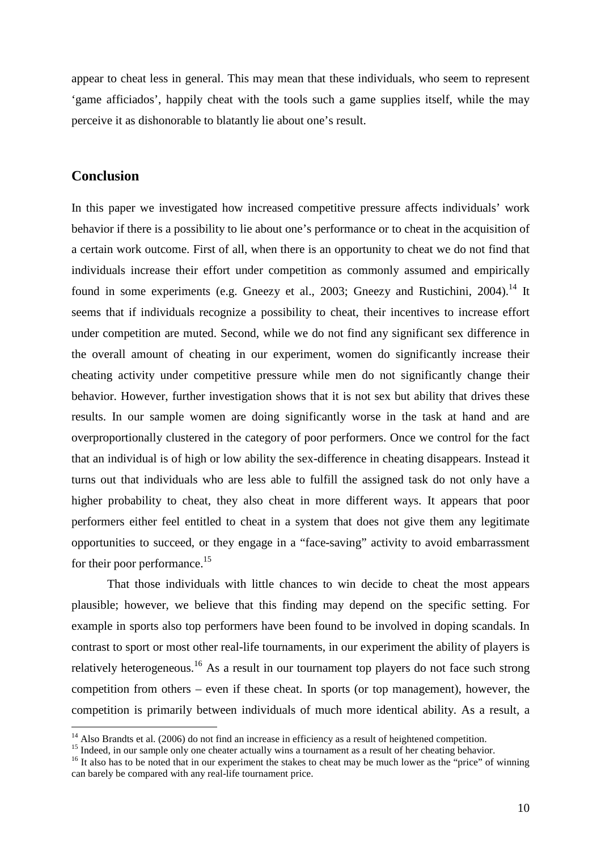appear to cheat less in general. This may mean that these individuals, who seem to represent 'game afficiados', happily cheat with the tools such a game supplies itself, while the may perceive it as dishonorable to blatantly lie about one's result.

### **Conclusion**

 $\overline{a}$ 

In this paper we investigated how increased competitive pressure affects individuals' work behavior if there is a possibility to lie about one's performance or to cheat in the acquisition of a certain work outcome. First of all, when there is an opportunity to cheat we do not find that individuals increase their effort under competition as commonly assumed and empirically found in some experiments (e.g. Gneezy et al., 2003; Gneezy and Rustichini, 2004).<sup>14</sup> It seems that if individuals recognize a possibility to cheat, their incentives to increase effort under competition are muted. Second, while we do not find any significant sex difference in the overall amount of cheating in our experiment, women do significantly increase their cheating activity under competitive pressure while men do not significantly change their behavior. However, further investigation shows that it is not sex but ability that drives these results. In our sample women are doing significantly worse in the task at hand and are overproportionally clustered in the category of poor performers. Once we control for the fact that an individual is of high or low ability the sex-difference in cheating disappears. Instead it turns out that individuals who are less able to fulfill the assigned task do not only have a higher probability to cheat, they also cheat in more different ways. It appears that poor performers either feel entitled to cheat in a system that does not give them any legitimate opportunities to succeed, or they engage in a "face-saving" activity to avoid embarrassment for their poor performance.<sup>15</sup>

That those individuals with little chances to win decide to cheat the most appears plausible; however, we believe that this finding may depend on the specific setting. For example in sports also top performers have been found to be involved in doping scandals. In contrast to sport or most other real-life tournaments, in our experiment the ability of players is relatively heterogeneous.<sup>16</sup> As a result in our tournament top players do not face such strong competition from others – even if these cheat. In sports (or top management), however, the competition is primarily between individuals of much more identical ability. As a result, a

 $14$  Also Brandts et al. (2006) do not find an increase in efficiency as a result of heightened competition.

<sup>&</sup>lt;sup>15</sup> Indeed, in our sample only one cheater actually wins a tournament as a result of her cheating behavior.

<sup>&</sup>lt;sup>16</sup> It also has to be noted that in our experiment the stakes to cheat may be much lower as the "price" of winning can barely be compared with any real-life tournament price.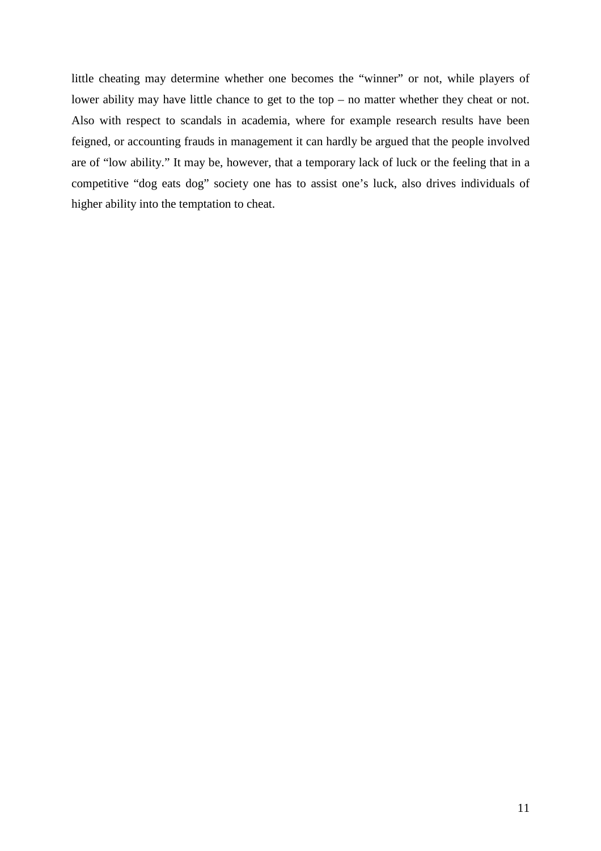little cheating may determine whether one becomes the "winner" or not, while players of lower ability may have little chance to get to the top – no matter whether they cheat or not. Also with respect to scandals in academia, where for example research results have been feigned, or accounting frauds in management it can hardly be argued that the people involved are of "low ability." It may be, however, that a temporary lack of luck or the feeling that in a competitive "dog eats dog" society one has to assist one's luck, also drives individuals of higher ability into the temptation to cheat.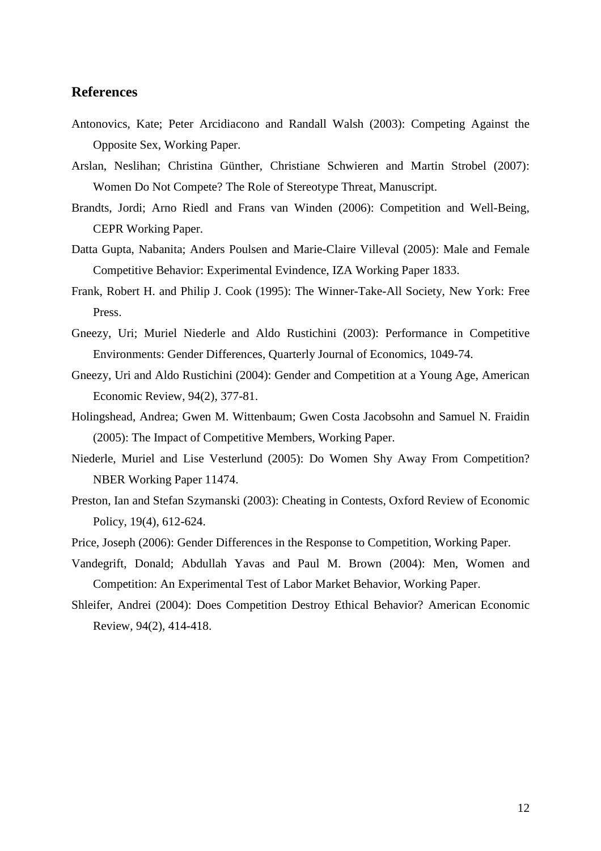### **References**

- Antonovics, Kate; Peter Arcidiacono and Randall Walsh (2003): Competing Against the Opposite Sex, Working Paper.
- Arslan, Neslihan; Christina Günther, Christiane Schwieren and Martin Strobel (2007): Women Do Not Compete? The Role of Stereotype Threat, Manuscript.
- Brandts, Jordi; Arno Riedl and Frans van Winden (2006): Competition and Well-Being, CEPR Working Paper.
- Datta Gupta, Nabanita; Anders Poulsen and Marie-Claire Villeval (2005): Male and Female Competitive Behavior: Experimental Evindence, IZA Working Paper 1833.
- Frank, Robert H. and Philip J. Cook (1995): The Winner-Take-All Society, New York: Free Press.
- Gneezy, Uri; Muriel Niederle and Aldo Rustichini (2003): Performance in Competitive Environments: Gender Differences, Quarterly Journal of Economics, 1049-74.
- Gneezy, Uri and Aldo Rustichini (2004): Gender and Competition at a Young Age, American Economic Review, 94(2), 377-81.
- Holingshead, Andrea; Gwen M. Wittenbaum; Gwen Costa Jacobsohn and Samuel N. Fraidin (2005): The Impact of Competitive Members, Working Paper.
- Niederle, Muriel and Lise Vesterlund (2005): Do Women Shy Away From Competition? NBER Working Paper 11474.
- Preston, Ian and Stefan Szymanski (2003): Cheating in Contests, Oxford Review of Economic Policy, 19(4), 612-624.
- Price, Joseph (2006): Gender Differences in the Response to Competition, Working Paper.
- Vandegrift, Donald; Abdullah Yavas and Paul M. Brown (2004): Men, Women and Competition: An Experimental Test of Labor Market Behavior, Working Paper.
- Shleifer, Andrei (2004): Does Competition Destroy Ethical Behavior? American Economic Review, 94(2), 414-418.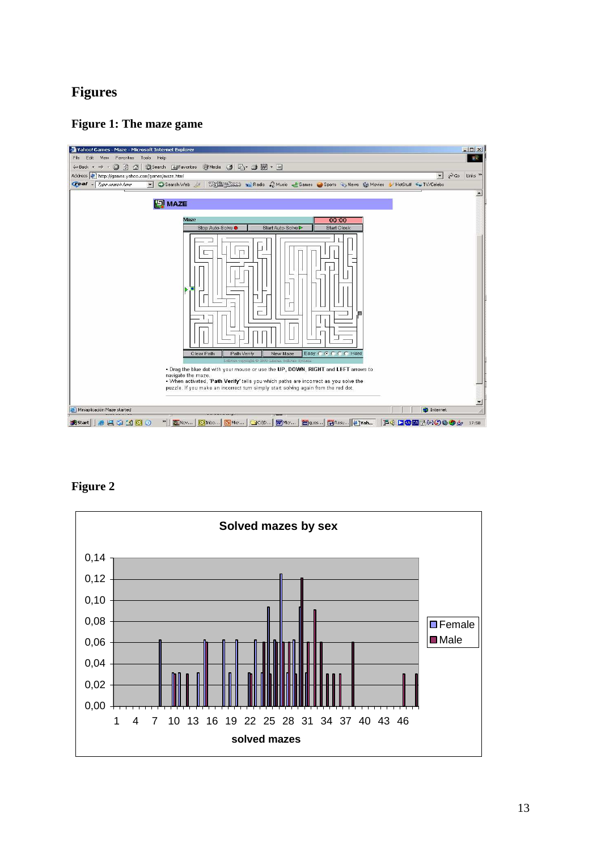## **Figures**

### **Figure 1: The maze game**



**Figure 2** 

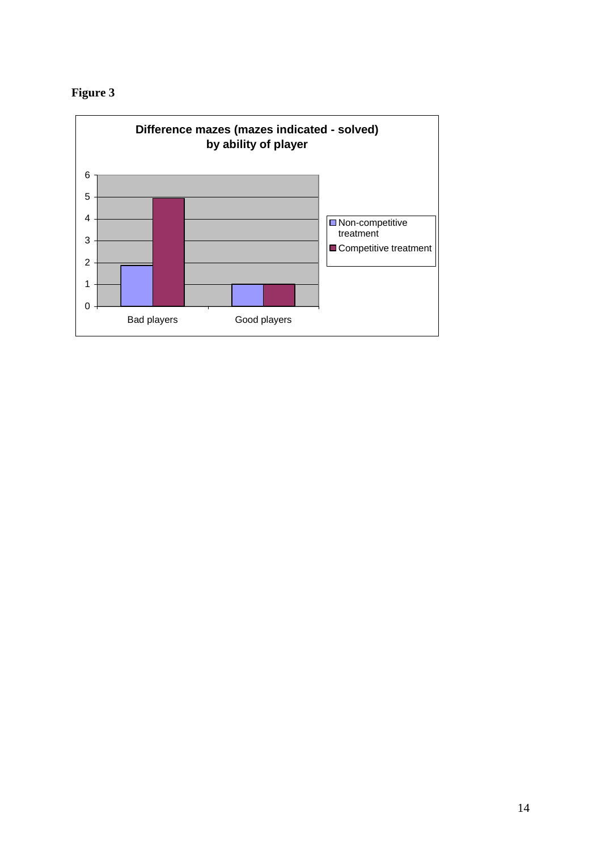

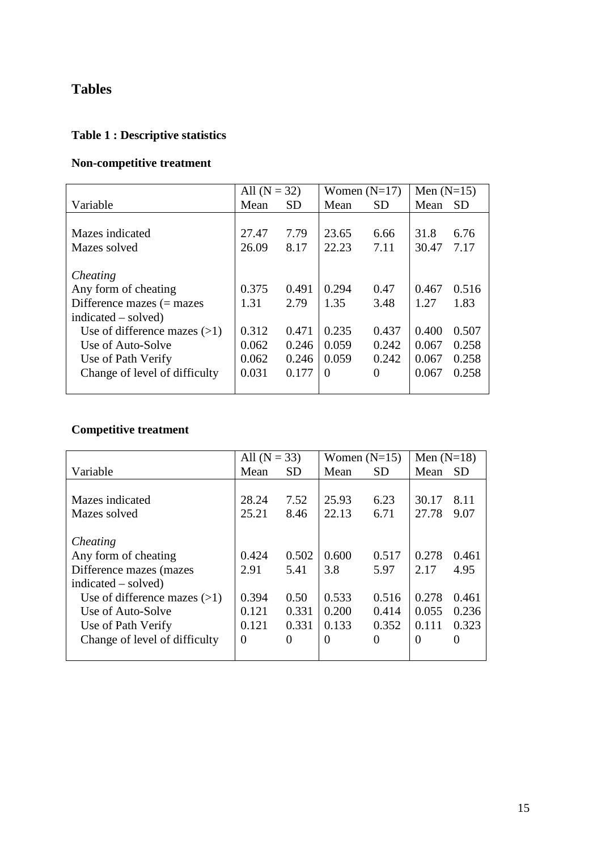## **Tables**

# **Table 1 : Descriptive statistics**

## **Non-competitive treatment**

|                                | All $(N = 32)$ |           | Women $(N=17)$ |           | Men $(N=15)$ |           |
|--------------------------------|----------------|-----------|----------------|-----------|--------------|-----------|
| Variable                       | Mean           | <b>SD</b> | Mean           | <b>SD</b> | Mean         | <b>SD</b> |
|                                |                |           |                |           |              |           |
| Mazes indicated                | 27.47          | 7.79      | 23.65          | 6.66      | 31.8         | 6.76      |
| Mazes solved                   | 26.09          | 8.17      | 22.23          | 7.11      | 30.47        | 7.17      |
|                                |                |           |                |           |              |           |
| Cheating                       |                |           |                |           |              |           |
| Any form of cheating           | 0.375          | 0.491     | 0.294          | 0.47      | 0.467        | 0.516     |
| Difference mazes $(=$ mazes    | 1.31           | 2.79      | 1.35           | 3.48      | 1.27         | 1.83      |
| $indicated - solved)$          |                |           |                |           |              |           |
| Use of difference mazes $(>1)$ | 0.312          | 0.471     | 0.235          | 0.437     | 0.400        | 0.507     |
| Use of Auto-Solve              | 0.062          | 0.246     | 0.059          | 0.242     | 0.067        | 0.258     |
| Use of Path Verify             | 0.062          | 0.246     | 0.059          | 0.242     | 0.067        | 0.258     |
| Change of level of difficulty  | 0.031          | 0.177     | $\Omega$       | $\Omega$  | 0.067        | 0.258     |
|                                |                |           |                |           |              |           |

## **Competitive treatment**

|                                | All $(N = 33)$ |           | Women $(N=15)$ |           | Men $(N=18)$ |           |
|--------------------------------|----------------|-----------|----------------|-----------|--------------|-----------|
| Variable                       | Mean           | <b>SD</b> | Mean           | <b>SD</b> | Mean         | <b>SD</b> |
|                                |                |           |                |           |              |           |
| Mazes indicated                | 28.24          | 7.52      | 25.93          | 6.23      | 30.17        | 8.11      |
| Mazes solved                   | 25.21          | 8.46      | 22.13          | 6.71      | 27.78        | 9.07      |
|                                |                |           |                |           |              |           |
| Cheating                       |                |           |                |           |              |           |
| Any form of cheating           | 0.424          | 0.502     | 0.600          | 0.517     | 0.278        | 0.461     |
| Difference mazes (mazes)       | 2.91           | 5.41      | 3.8            | 5.97      | 2.17         | 4.95      |
| $indicated - solved)$          |                |           |                |           |              |           |
| Use of difference mazes $(>1)$ | 0.394          | 0.50      | 0.533          | 0.516     | 0.278        | 0.461     |
| Use of Auto-Solve              | 0.121          | 0.331     | 0.200          | 0.414     | 0.055        | 0.236     |
| Use of Path Verify             | 0.121          | 0.331     | 0.133          | 0.352     | 0.111        | 0.323     |
| Change of level of difficulty  | $\Omega$       | 0         | $\theta$       | 0         | 0            | 0         |
|                                |                |           |                |           |              |           |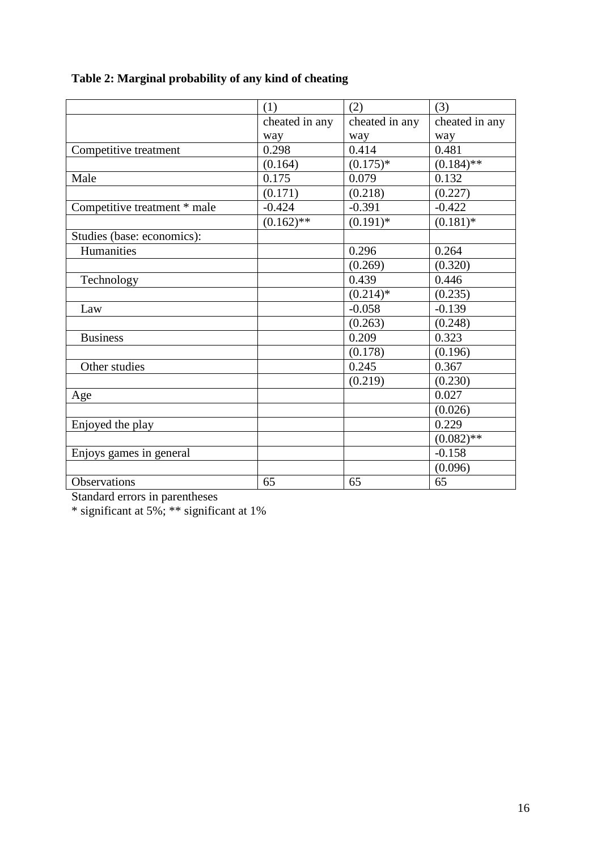|                              | (1)            | (2)            | (3)            |
|------------------------------|----------------|----------------|----------------|
|                              | cheated in any | cheated in any | cheated in any |
|                              | way            | way            | way            |
| Competitive treatment        | 0.298          | 0.414          | 0.481          |
|                              | (0.164)        | $(0.175)*$     | $(0.184)$ **   |
| Male                         | 0.175          | 0.079          | 0.132          |
|                              | (0.171)        | (0.218)        | (0.227)        |
| Competitive treatment * male | $-0.424$       | $-0.391$       | $-0.422$       |
|                              | $(0.162)$ **   | $(0.191)^{*}$  | $(0.181)$ *    |
| Studies (base: economics):   |                |                |                |
| Humanities                   |                | 0.296          | 0.264          |
|                              |                | (0.269)        | (0.320)        |
| Technology                   |                | 0.439          | 0.446          |
|                              |                | $(0.214)*$     | (0.235)        |
| Law                          |                | $-0.058$       | $-0.139$       |
|                              |                | (0.263)        | (0.248)        |
| <b>Business</b>              |                | 0.209          | 0.323          |
|                              |                | (0.178)        | (0.196)        |
| Other studies                |                | 0.245          | 0.367          |
|                              |                | (0.219)        | (0.230)        |
| Age                          |                |                | 0.027          |
|                              |                |                | (0.026)        |
| Enjoyed the play             |                |                | 0.229          |
|                              |                |                | $(0.082)$ **   |
| Enjoys games in general      |                |                | $-0.158$       |
|                              |                |                | (0.096)        |
| Observations                 | 65             | 65             | 65             |

# **Table 2: Marginal probability of any kind of cheating**

Standard errors in parentheses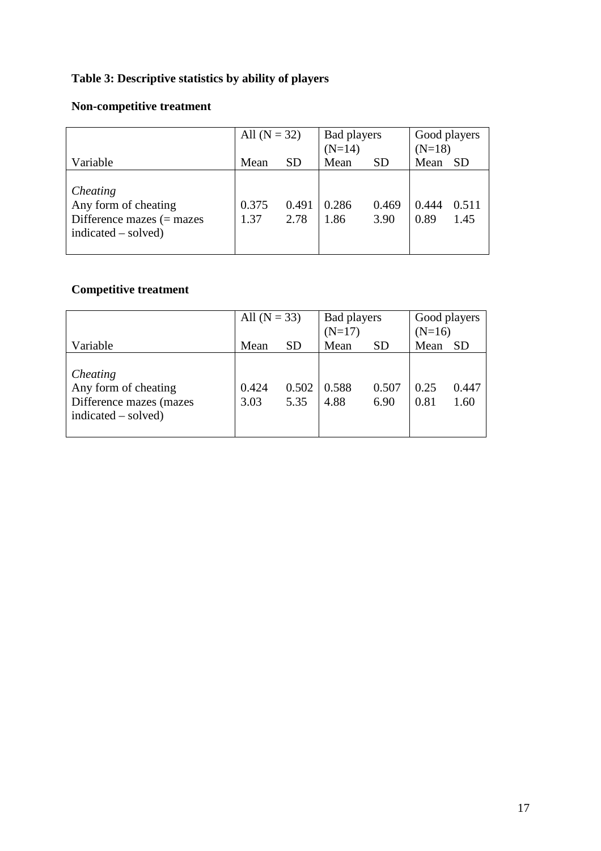# **Table 3: Descriptive statistics by ability of players**

## **Non-competitive treatment**

|                                                                                          | All $(N = 32)$ |               | Bad players<br>$(N=14)$ |               | Good players<br>$(N=18)$ |               |
|------------------------------------------------------------------------------------------|----------------|---------------|-------------------------|---------------|--------------------------|---------------|
| Variable                                                                                 | Mean           | <b>SD</b>     | Mean                    | <b>SD</b>     | Mean                     | <b>SD</b>     |
| Cheating<br>Any form of cheating<br>Difference mazes $(=$ mazes<br>$indicated - solved)$ | 0.375<br>1.37  | 0.491<br>2.78 | 0.286<br>1.86           | 0.469<br>3.90 | 0.444<br>0.89            | 0.511<br>1.45 |

## **Competitive treatment**

|                                                                                    | All $(N = 33)$ |               | Bad players<br>$(N=17)$ |               | Good players<br>$(N=16)$ |               |
|------------------------------------------------------------------------------------|----------------|---------------|-------------------------|---------------|--------------------------|---------------|
| Variable                                                                           | Mean           | <b>SD</b>     | Mean                    | <b>SD</b>     | Mean                     | <b>SD</b>     |
| Cheating<br>Any form of cheating<br>Difference mazes (mazes<br>indicated – solved) | 0.424<br>3.03  | 0.502<br>5.35 | 0.588<br>4.88           | 0.507<br>6.90 | 0.25<br>0.81             | 0.447<br>1.60 |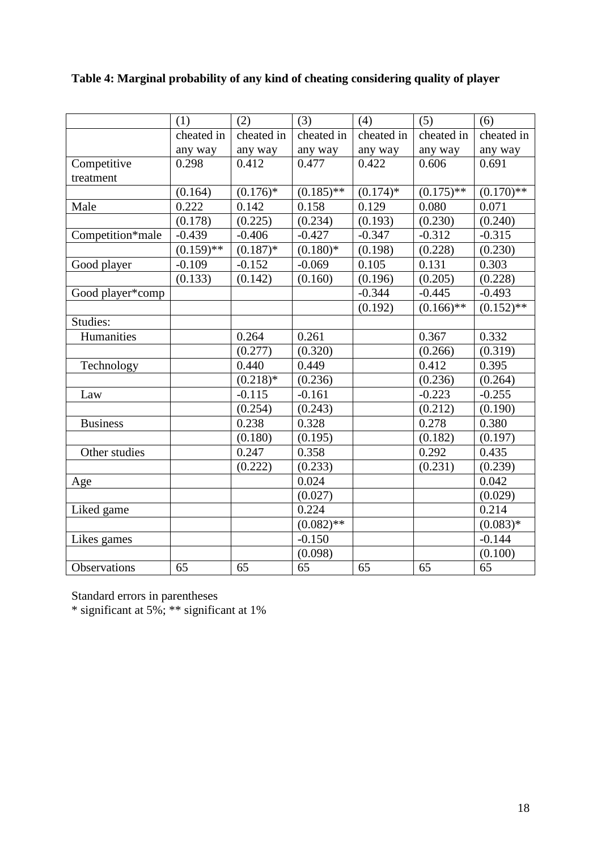|                  | (1)          | (2)         | (3)          | (4)         | (5)          | (6)                |
|------------------|--------------|-------------|--------------|-------------|--------------|--------------------|
|                  | cheated in   | cheated in  | cheated in   | cheated in  | cheated in   | cheated in         |
|                  | any way      | any way     | any way      | any way     | any way      | any way            |
| Competitive      | 0.298        | 0.412       | 0.477        | 0.422       | 0.606        | 0.691              |
| treatment        |              |             |              |             |              |                    |
|                  | (0.164)      | $(0.176)*$  | $(0.185)$ ** | $(0.174)$ * | $(0.175)$ ** | $(0.170)$ **       |
| Male             | 0.222        | 0.142       | 0.158        | 0.129       | 0.080        | 0.071              |
|                  | (0.178)      | (0.225)     | (0.234)      | (0.193)     | (0.230)      | (0.240)            |
| Competition*male | $-0.439$     | $-0.406$    | $-0.427$     | $-0.347$    | $-0.312$     | $-0.315$           |
|                  | $(0.159)$ ** | $(0.187)$ * | $(0.180)*$   | (0.198)     | (0.228)      | (0.230)            |
| Good player      | $-0.109$     | $-0.152$    | $-0.069$     | 0.105       | 0.131        | 0.303              |
|                  | (0.133)      | (0.142)     | (0.160)      | (0.196)     | (0.205)      | (0.228)            |
| Good player*comp |              |             |              | $-0.344$    | $-0.445$     | $-0.493$           |
|                  |              |             |              | (0.192)     | $(0.166)$ ** | $\sqrt{(0.152)**}$ |
| Studies:         |              |             |              |             |              |                    |
| Humanities       |              | 0.264       | 0.261        |             | 0.367        | 0.332              |
|                  |              | (0.277)     | (0.320)      |             | (0.266)      | (0.319)            |
| Technology       |              | 0.440       | 0.449        |             | 0.412        | 0.395              |
|                  |              | $(0.218)*$  | (0.236)      |             | (0.236)      | (0.264)            |
| Law              |              | $-0.115$    | $-0.161$     |             | $-0.223$     | $-0.255$           |
|                  |              | (0.254)     | (0.243)      |             | (0.212)      | (0.190)            |
| <b>Business</b>  |              | 0.238       | 0.328        |             | 0.278        | 0.380              |
|                  |              | (0.180)     | (0.195)      |             | (0.182)      | (0.197)            |
| Other studies    |              | 0.247       | 0.358        |             | 0.292        | 0.435              |
|                  |              | (0.222)     | (0.233)      |             | (0.231)      | (0.239)            |
| Age              |              |             | 0.024        |             |              | 0.042              |
|                  |              |             | (0.027)      |             |              | (0.029)            |
| Liked game       |              |             | 0.224        |             |              | 0.214              |
|                  |              |             | $(0.082)$ ** |             |              | $(0.083)*$         |
| Likes games      |              |             | $-0.150$     |             |              | $-0.144$           |
|                  |              |             | (0.098)      |             |              | (0.100)            |
| Observations     | 65           | 65          | 65           | 65          | 65           | $\overline{65}$    |

## **Table 4: Marginal probability of any kind of cheating considering quality of player**

Standard errors in parentheses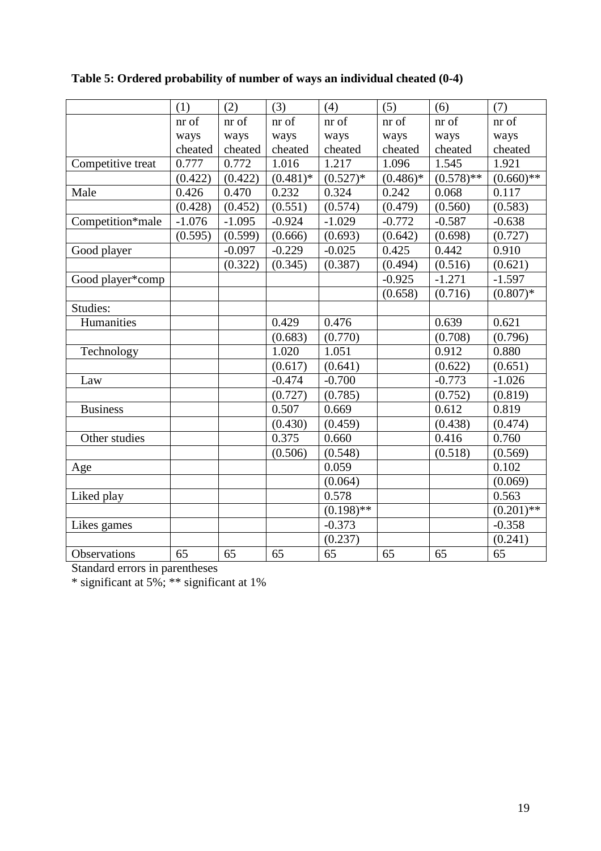|                   | (1)      | (2)      | (3)         | (4)          | (5)        | (6)          | (7)          |
|-------------------|----------|----------|-------------|--------------|------------|--------------|--------------|
|                   | nr of    | nr of    | nr of       | nr of        | nr of      | nr of        | nr of        |
|                   | ways     | ways     | ways        | ways         | ways       | ways         | ways         |
|                   | cheated  | cheated  | cheated     | cheated      | cheated    | cheated      | cheated      |
| Competitive treat | 0.777    | 0.772    | 1.016       | 1.217        | 1.096      | 1.545        | 1.921        |
|                   | (0.422)  | (0.422)  | $(0.481)$ * | $(0.527)*$   | $(0.486)*$ | $(0.578)$ ** | $(0.660)$ ** |
| Male              | 0.426    | 0.470    | 0.232       | 0.324        | 0.242      | 0.068        | 0.117        |
|                   | (0.428)  | (0.452)  | (0.551)     | (0.574)      | (0.479)    | (0.560)      | (0.583)      |
| Competition*male  | $-1.076$ | $-1.095$ | $-0.924$    | $-1.029$     | $-0.772$   | $-0.587$     | $-0.638$     |
|                   | (0.595)  | (0.599)  | (0.666)     | (0.693)      | (0.642)    | (0.698)      | (0.727)      |
| Good player       |          | $-0.097$ | $-0.229$    | $-0.025$     | 0.425      | 0.442        | 0.910        |
|                   |          | (0.322)  | (0.345)     | (0.387)      | (0.494)    | (0.516)      | (0.621)      |
| Good player*comp  |          |          |             |              | $-0.925$   | $-1.271$     | $-1.597$     |
|                   |          |          |             |              | (0.658)    | (0.716)      | $(0.807)*$   |
| Studies:          |          |          |             |              |            |              |              |
| Humanities        |          |          | 0.429       | 0.476        |            | 0.639        | 0.621        |
|                   |          |          | (0.683)     | (0.770)      |            | (0.708)      | (0.796)      |
| Technology        |          |          | 1.020       | 1.051        |            | 0.912        | 0.880        |
|                   |          |          | (0.617)     | (0.641)      |            | (0.622)      | (0.651)      |
| Law               |          |          | $-0.474$    | $-0.700$     |            | $-0.773$     | $-1.026$     |
|                   |          |          | (0.727)     | (0.785)      |            | (0.752)      | (0.819)      |
| <b>Business</b>   |          |          | 0.507       | 0.669        |            | 0.612        | 0.819        |
|                   |          |          | (0.430)     | (0.459)      |            | (0.438)      | (0.474)      |
| Other studies     |          |          | 0.375       | 0.660        |            | 0.416        | 0.760        |
|                   |          |          | (0.506)     | (0.548)      |            | (0.518)      | (0.569)      |
| Age               |          |          |             | 0.059        |            |              | 0.102        |
|                   |          |          |             | (0.064)      |            |              | (0.069)      |
| Liked play        |          |          |             | 0.578        |            |              | 0.563        |
|                   |          |          |             | $(0.198)$ ** |            |              | $(0.201)$ ** |
| Likes games       |          |          |             | $-0.373$     |            |              | $-0.358$     |
|                   |          |          |             | (0.237)      |            |              | (0.241)      |
| Observations      | 65       | 65       | 65          | 65           | 65         | 65           | 65           |

**Table 5: Ordered probability of number of ways an individual cheated (0-4)** 

Standard errors in parentheses